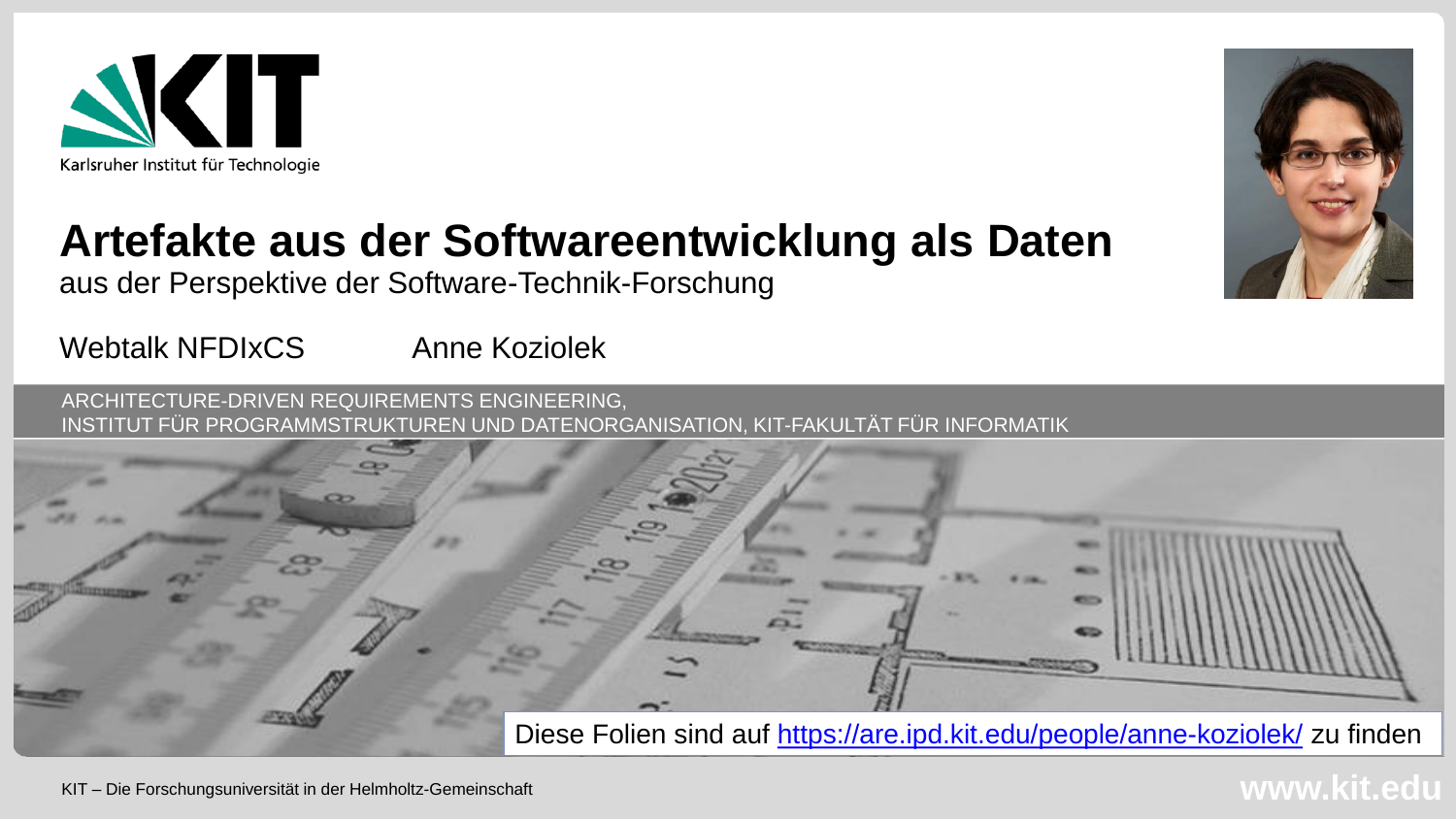

#### **Artefakte aus der Softwareentwicklung als Daten**

aus der Perspektive der Software-Technik-Forschung

Webtalk NFDIxCS Anne Koziolek

ARCHITECTURE-DRIVEN REQUIREMENTS ENGINEERING, INSTITUT FÜR PROGRAMMSTRUKTUREN UND DATENORGANISATION, KIT-FAKULTÄT FÜR INFORMATIK



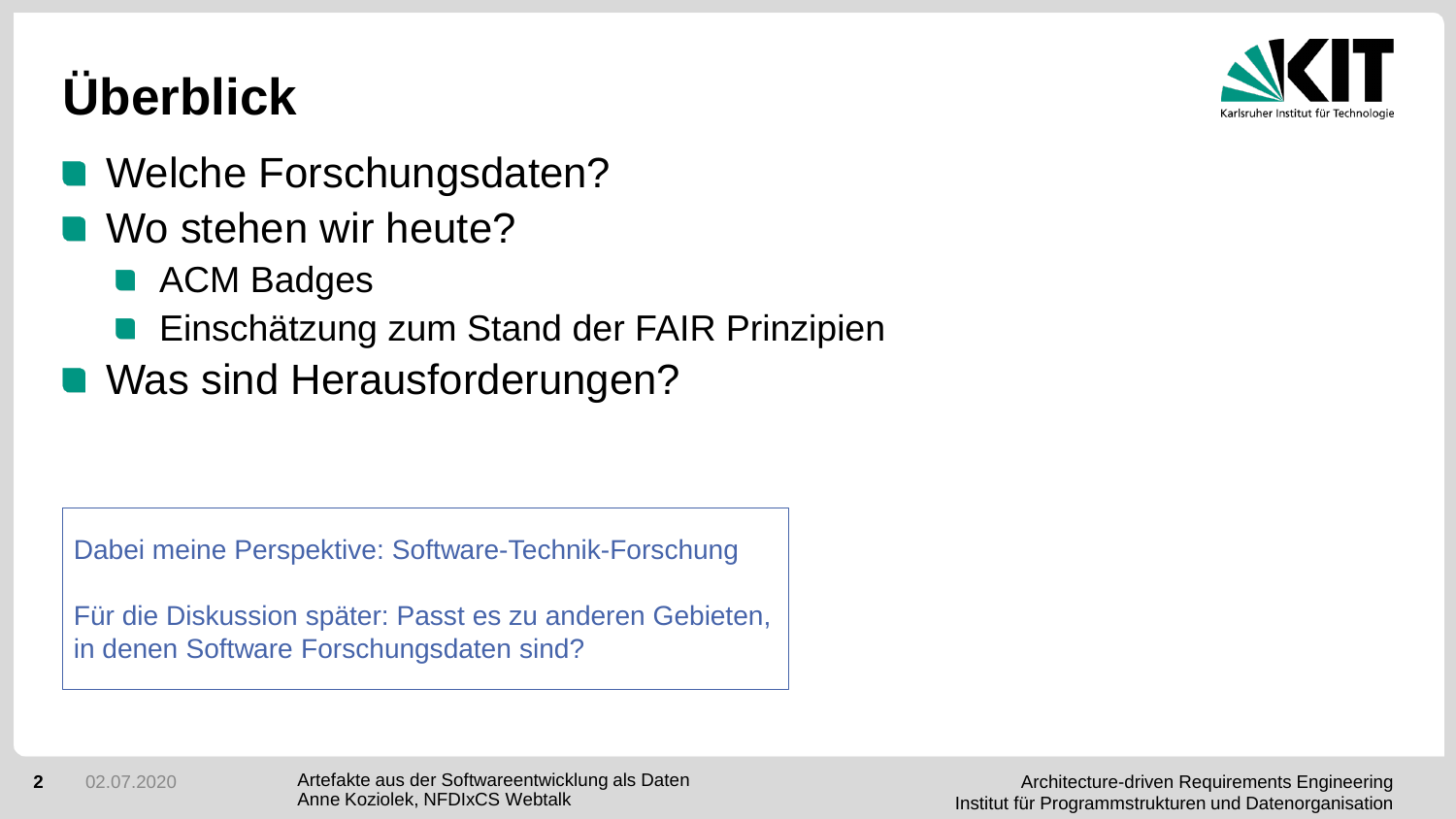# **Überblick**



- Welche Forschungsdaten?
- Wo stehen wir heute?
	- **ACM Badges**
	- **Einschätzung zum Stand der FAIR Prinzipien**
- Was sind Herausforderungen?

Dabei meine Perspektive: Software-Technik-Forschung

Für die Diskussion später: Passt es zu anderen Gebieten, in denen Software Forschungsdaten sind?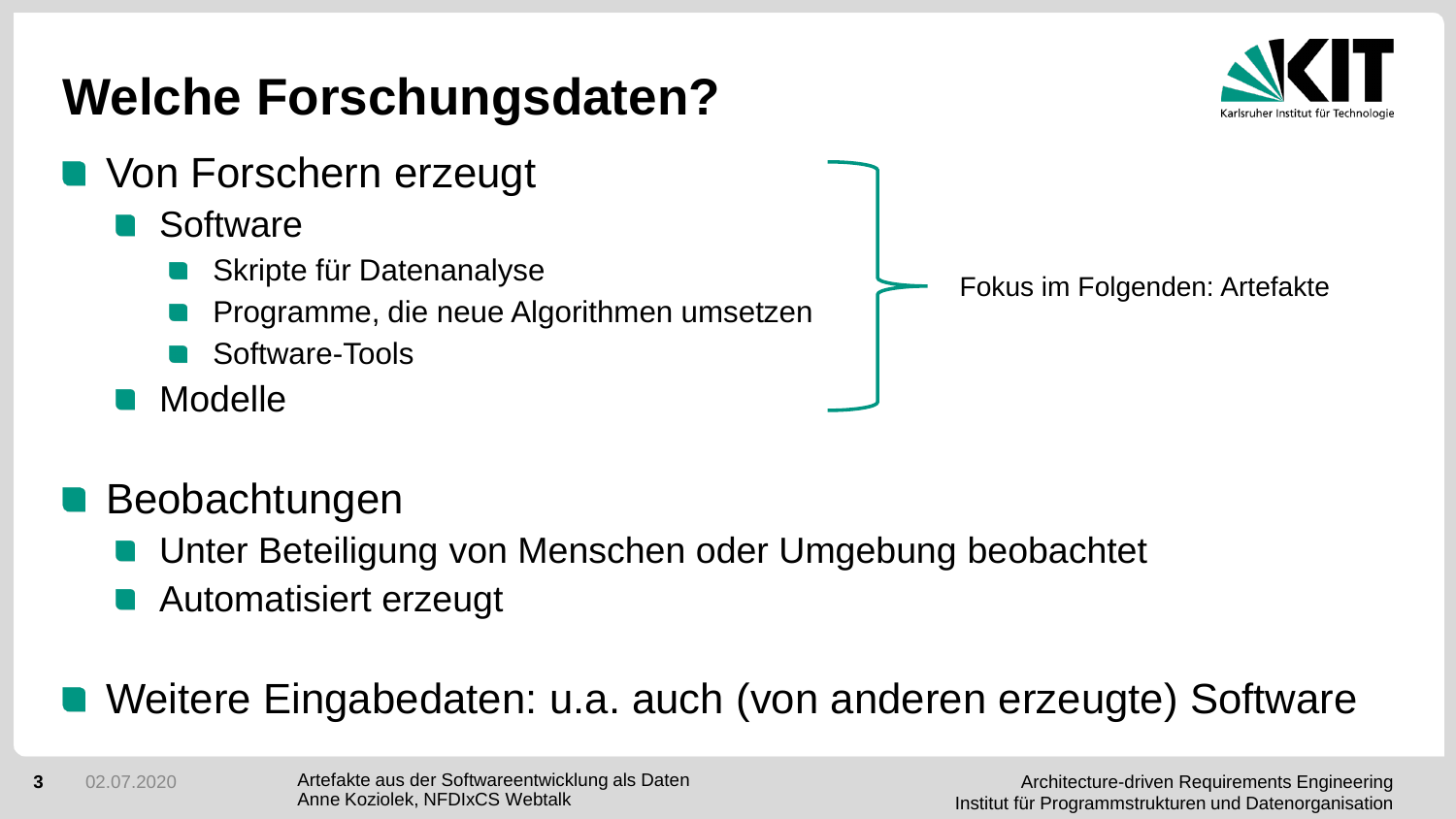#### **Welche Forschungsdaten? Non Forschern erzeugt Software** Skripte für Datenanalyse Programme, die neue Algorithmen umsetzen Software-Tools Modelle Fokus im Folgenden: Artefakte

- Beobachtungen
	- Unter Beteiligung von Menschen oder Umgebung beobachtet
	- Automatisiert erzeugt

#### Weitere Eingabedaten: u.a. auch (von anderen erzeugte) Software

**3** 02.07.2020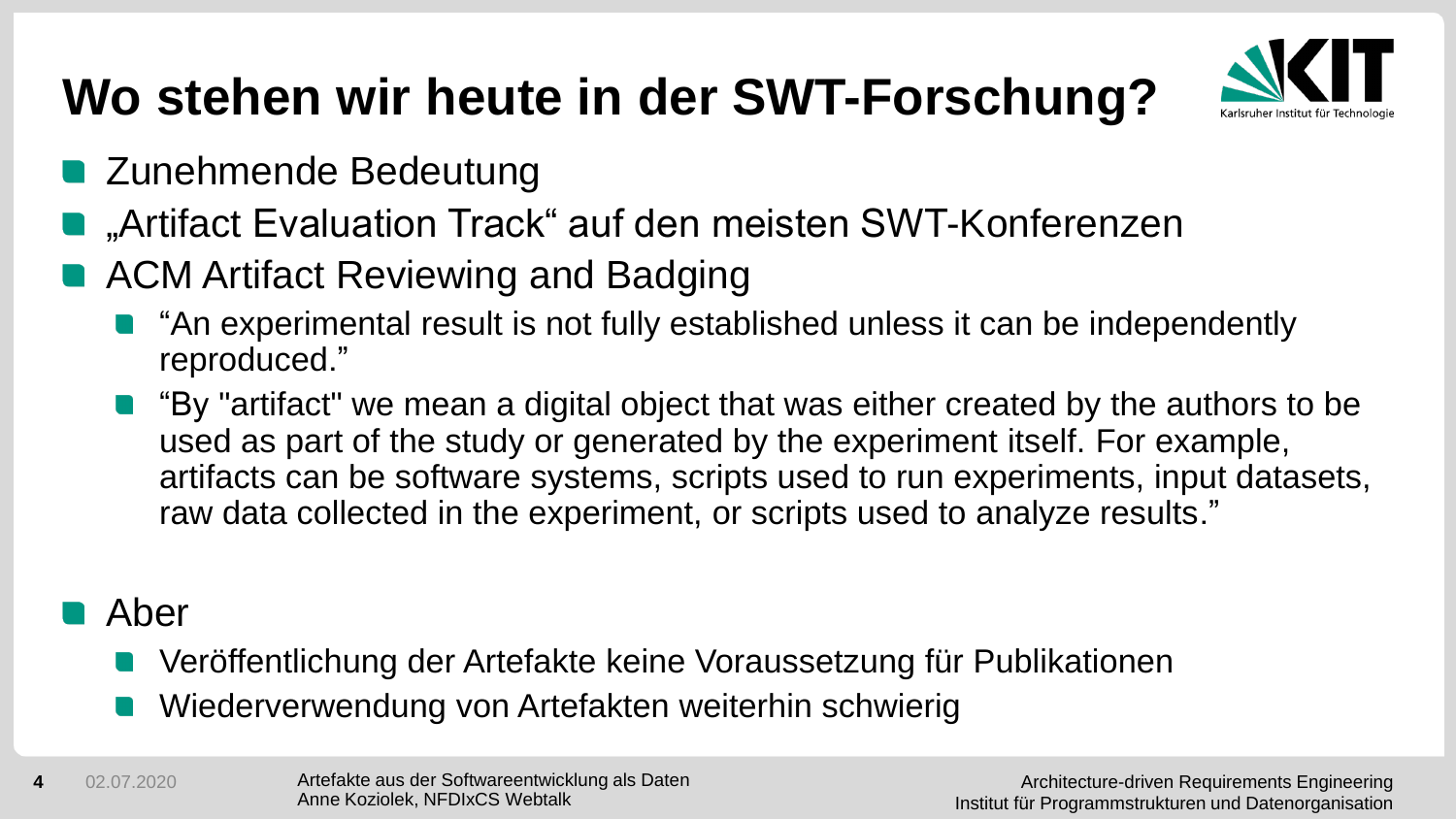# **Wo stehen wir heute in der SWT-Forschung?**



- **E** Zunehmende Bedeutung
- "Artifact Evaluation Track" auf den meisten SWT-Konferenzen
- ACM Artifact Reviewing and Badging
	- "An experimental result is not fully established unless it can be independently reproduced."
	- "By "artifact" we mean a digital object that was either created by the authors to be used as part of the study or generated by the experiment itself. For example, artifacts can be software systems, scripts used to run experiments, input datasets, raw data collected in the experiment, or scripts used to analyze results."

#### **R** Aber

- Veröffentlichung der Artefakte keine Voraussetzung für Publikationen
- Wiederverwendung von Artefakten weiterhin schwierig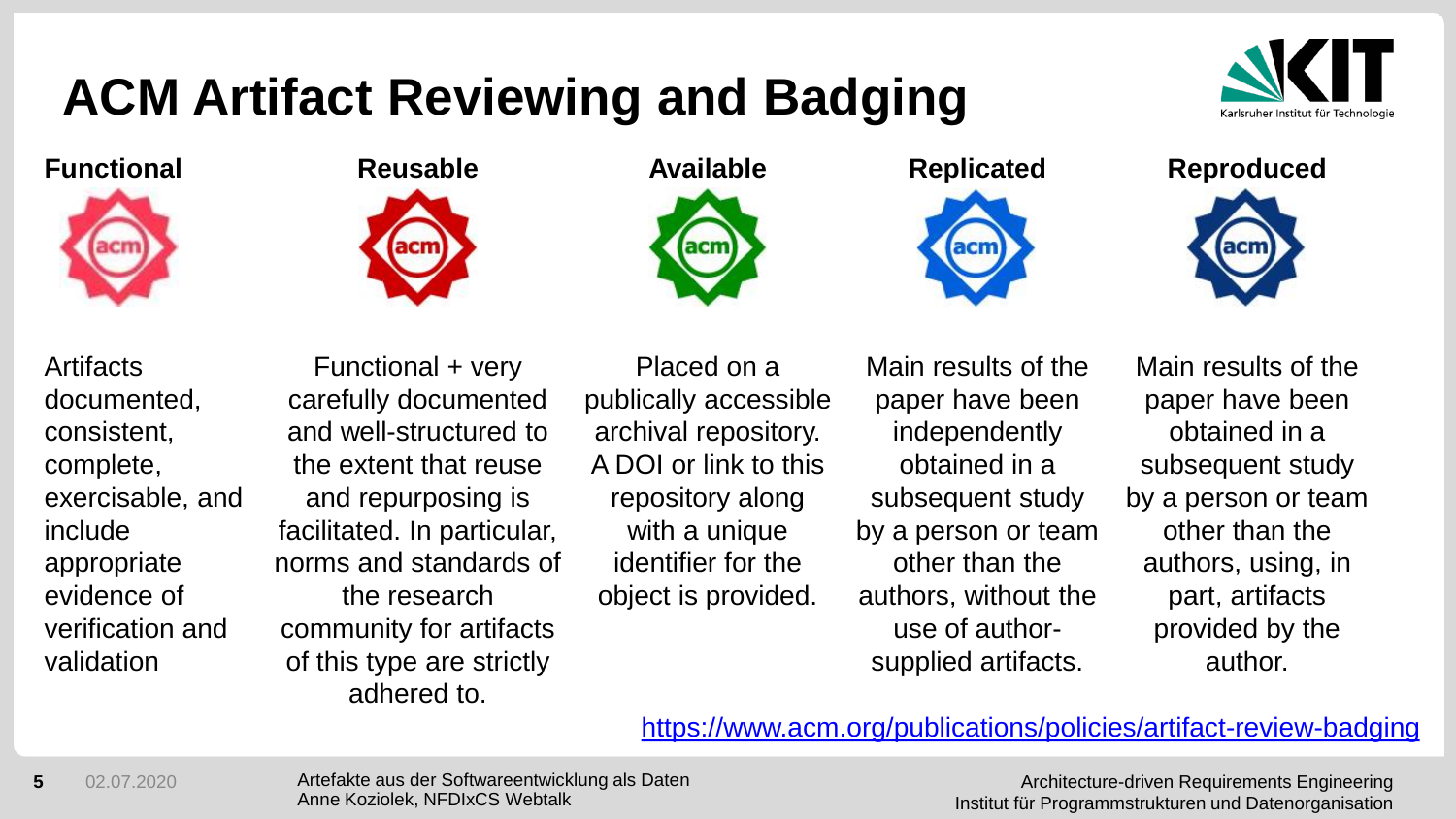# **ACM Artifact Reviewing and Badging**



**Functional Reusable Available Replicated Reproduced**





**Artifacts** documented, consistent, complete, exercisable, and include appropriate evidence of verification and validation

Functional + very carefully documented and well-structured to the extent that reuse and repurposing is facilitated. In particular, norms and standards of the research community for artifacts of this type are strictly adhered to.



Placed on a publically accessible archival repository. A DOI or link to this repository along with a unique identifier for the object is provided.

Main results of the paper have been independently obtained in a subsequent study by a person or team other than the authors, without the use of authorsupplied artifacts.

acm

Main results of the paper have been obtained in a subsequent study by a person or team other than the authors, using, in part, artifacts provided by the author.

<https://www.acm.org/publications/policies/artifact-review-badging>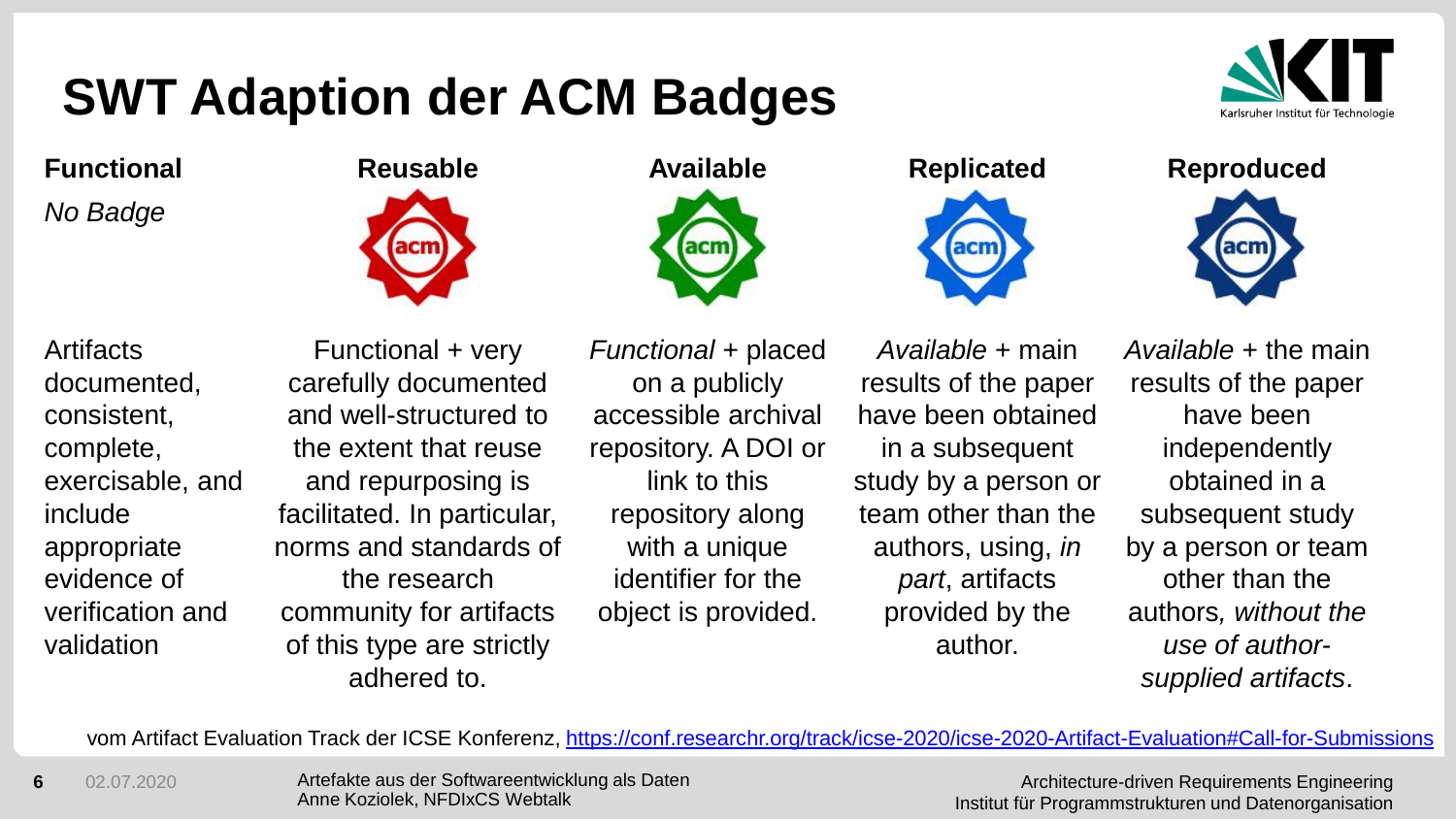# **SWT Adaption der ACM Badges**



**Functional Reusable Available Replicated Reproduced**

*No Badge*

**Artifacts** documented, consistent, complete, exercisable, and include appropriate evidence of verification and validation



Functional + very carefully documented and well-structured to the extent that reuse and repurposing is facilitated. In particular, norms and standards of the research community for artifacts of this type are strictly adhered to.



*Functional* + placed on a publicly accessible archival repository. A DOI or link to this repository along with a unique identifier for the object is provided.



*Available* + main results of the paper have been obtained in a subsequent study by a person or team other than the authors, using, *in part*, artifacts provided by the author.

*Available* + the main results of the paper have been independently obtained in a subsequent study by a person or team other than the authors*, without the use of authorsupplied artifacts*.

vom Artifact Evaluation Track der ICSE Konferenz,<https://conf.researchr.org/track/icse-2020/icse-2020-Artifact-Evaluation#Call-for-Submissions>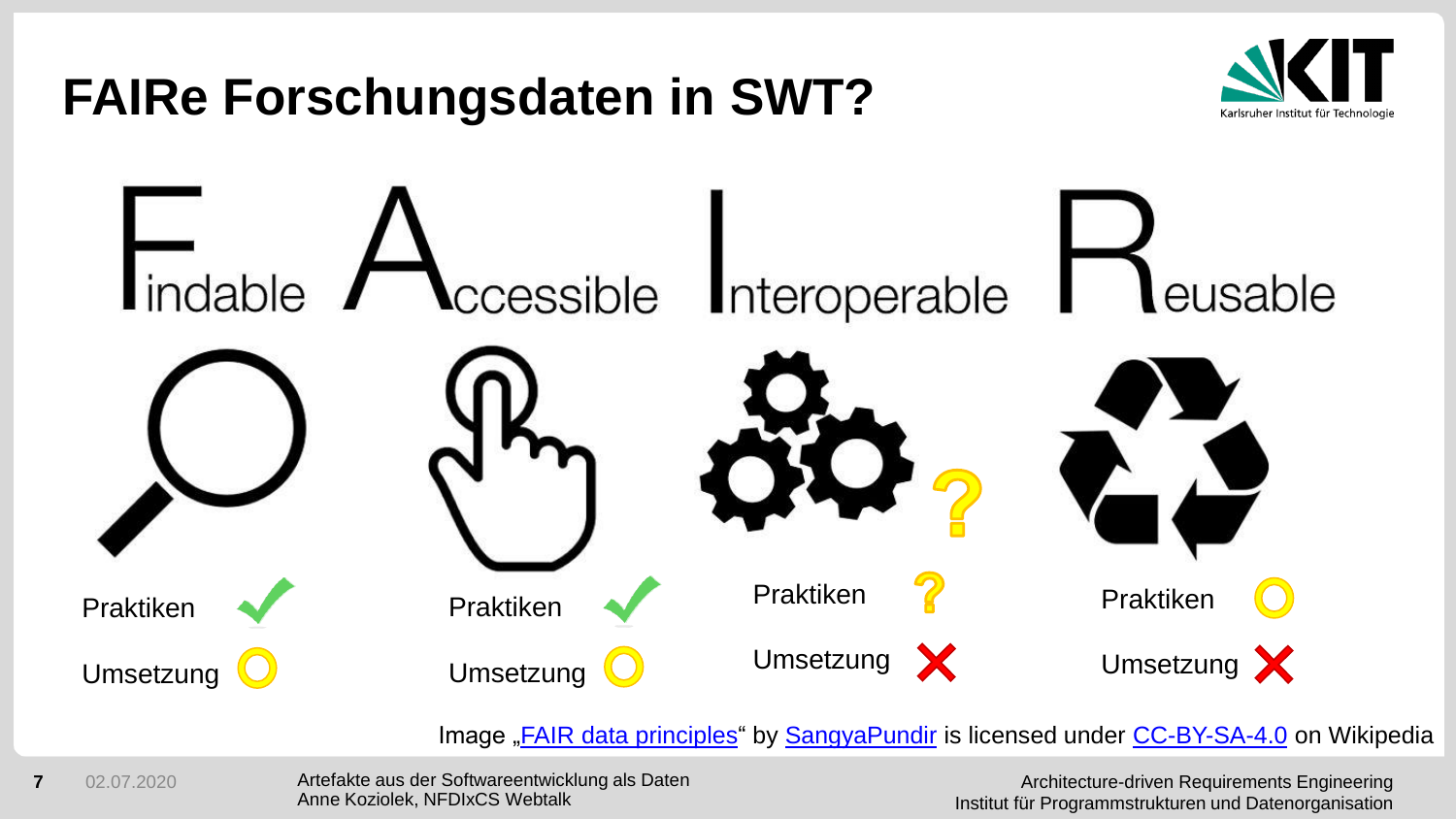## **FAIRe Forschungsdaten in SWT?**





Image "**FAIR data principles**" by **[SangyaPundir](https://commons.wikimedia.org/w/index.php?title=User:SangyaPundir&action=edit&redlink=1)** is licensed under [CC-BY-SA-4.0](https://commons.wikimedia.org/wiki/Category:CC-BY-SA-4.0) on Wikipedia

**7** 02.07.2020

Artefakte aus der Softwareentwicklung als Daten Anne Koziolek, NFDIxCS Webtalk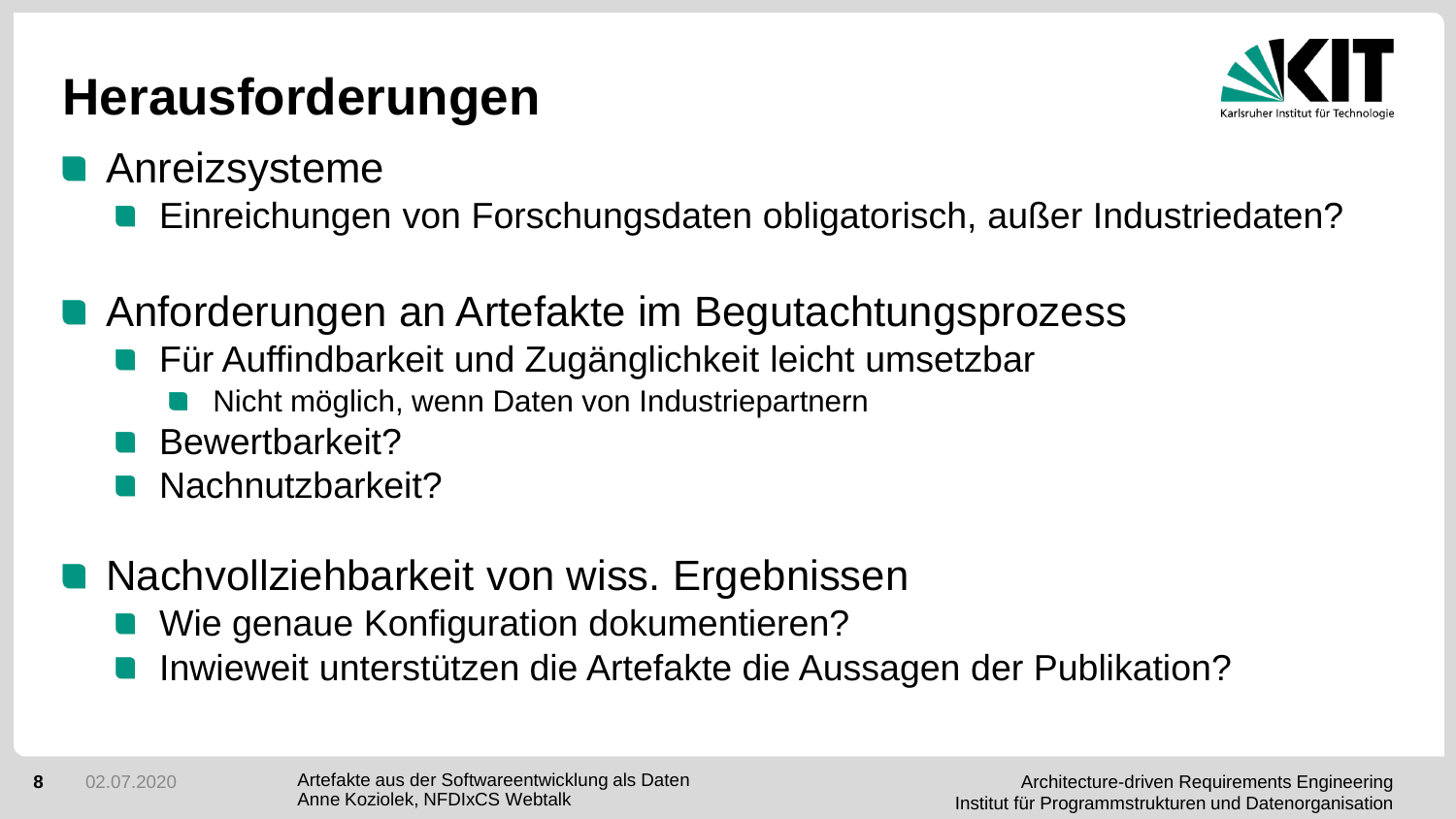### **Herausforderungen**



- **Anreizsysteme** 
	- Einreichungen von Forschungsdaten obligatorisch, außer Industriedaten?
- Anforderungen an Artefakte im Begutachtungsprozess
	- **Für Auffindbarkeit und Zugänglichkeit leicht umsetzbar** 
		- Nicht möglich, wenn Daten von Industriepartnern
	- Bewertbarkeit?
	- Nachnutzbarkeit?
- **Nachvollziehbarkeit von wiss. Ergebnissen** 
	- Wie genaue Konfiguration dokumentieren?
	- Inwieweit unterstützen die Artefakte die Aussagen der Publikation?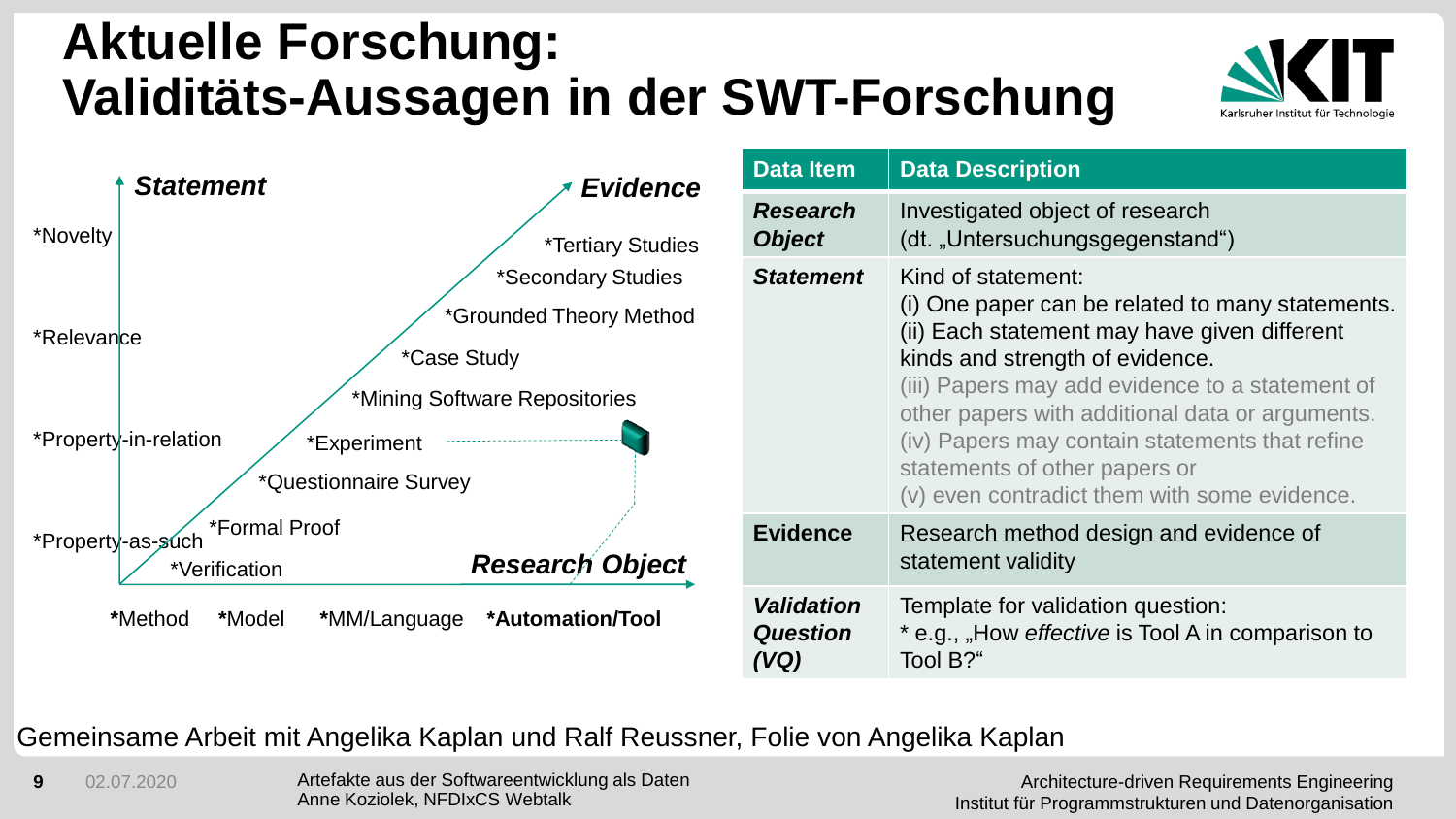#### **Aktuelle Forschung: Validitäts-Aussagen in der SWT-Forschung**



| <b>Statement</b>                                              | <b>Evidence</b>                                                                               | <b>Data Item</b>                             | <b>Data Description</b>                                                                                                                                                                                                                                                                                                                                                                            |
|---------------------------------------------------------------|-----------------------------------------------------------------------------------------------|----------------------------------------------|----------------------------------------------------------------------------------------------------------------------------------------------------------------------------------------------------------------------------------------------------------------------------------------------------------------------------------------------------------------------------------------------------|
| *Novelty                                                      | <i>*Tertiary Studies</i>                                                                      | <b>Research</b><br><b>Object</b>             | Investigated object of research<br>(dt. "Untersuchungsgegenstand")                                                                                                                                                                                                                                                                                                                                 |
| *Relevance                                                    | *Secondary Studies<br>*Grounded Theory Method<br>*Case Study<br>*Mining Software Repositories |                                              | Kind of statement:<br>(i) One paper can be related to many statements.<br>(ii) Each statement may have given different<br>kinds and strength of evidence.<br>(iii) Papers may add evidence to a statement of<br>other papers with additional data or arguments.<br>(iv) Papers may contain statements that refine<br>statements of other papers or<br>(v) even contradict them with some evidence. |
| *Property-in-relation<br>*Experiment<br>*Questionnaire Survey |                                                                                               |                                              |                                                                                                                                                                                                                                                                                                                                                                                                    |
| *Formal Proof<br>*Property-as-such<br>*Verification           | <b>Research Object</b>                                                                        | <b>Evidence</b>                              | Research method design and evidence of<br>statement validity                                                                                                                                                                                                                                                                                                                                       |
| *Method<br><i><b>*Model</b></i><br>*MM/Language               | *Automation/Tool                                                                              | <b>Validation</b><br><b>Question</b><br>(VQ) | Template for validation question:<br>* e.g., "How effective is Tool A in comparison to<br>Tool B?"                                                                                                                                                                                                                                                                                                 |

#### Gemeinsame Arbeit mit Angelika Kaplan und Ralf Reussner, Folie von Angelika Kaplan

**9** 02.07.2020

Artefakte aus der Softwareentwicklung als Daten Anne Koziolek, NFDIxCS Webtalk